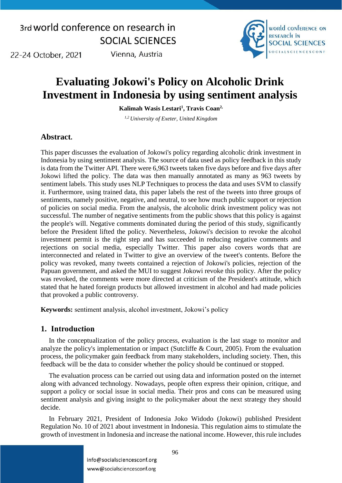22-24 October, 2021

Vienna, Austria



## **Evaluating Jokowi's Policy on Alcoholic Drink Investment in Indonesia by using sentiment analysis**

**Kalimah Wasis Lestari<sup>1</sup> , Travis Coan2,**

*1,2 University of Exeter, United Kingdom*

### **Abstract.**

This paper discusses the evaluation of Jokowi's policy regarding alcoholic drink investment in Indonesia by using sentiment analysis. The source of data used as policy feedback in this study is data from the Twitter API. There were 6,963 tweets taken five days before and five days after Jokowi lifted the policy. The data was then manually annotated as many as 963 tweets by sentiment labels. This study uses NLP Techniques to process the data and uses SVM to classify it. Furthermore, using trained data, this paper labels the rest of the tweets into three groups of sentiments, namely positive, negative, and neutral, to see how much public support or rejection of policies on social media. From the analysis, the alcoholic drink investment policy was not successful. The number of negative sentiments from the public shows that this policy is against the people's will. Negative comments dominated during the period of this study, significantly before the President lifted the policy. Nevertheless, Jokowi's decision to revoke the alcohol investment permit is the right step and has succeeded in reducing negative comments and rejections on social media, especially Twitter. This paper also covers words that are interconnected and related in Twitter to give an overview of the tweet's contents. Before the policy was revoked, many tweets contained a rejection of Jokowi's policies, rejection of the Papuan government, and asked the MUI to suggest Jokowi revoke this policy. After the policy was revoked, the comments were more directed at criticism of the President's attitude, which stated that he hated foreign products but allowed investment in alcohol and had made policies that provoked a public controversy.

**Keywords:** sentiment analysis, alcohol investment, Jokowi's policy

### **1. Introduction**

In the conceptualization of the policy process, evaluation is the last stage to monitor and analyze the policy's implementation or impact (Sutcliffe & Court, 2005). From the evaluation process, the policymaker gain feedback from many stakeholders, including society. Then, this feedback will be the data to consider whether the policy should be continued or stopped.

The evaluation process can be carried out using data and information posted on the internet along with advanced technology. Nowadays, people often express their opinion, critique, and support a policy or social issue in social media. Their pros and cons can be measured using sentiment analysis and giving insight to the policymaker about the next strategy they should decide.

In February 2021, President of Indonesia Joko Widodo (Jokowi) published President Regulation No. 10 of 2021 about investment in Indonesia. This regulation aims to stimulate the growth of investment in Indonesia and increase the national income. However, this rule includes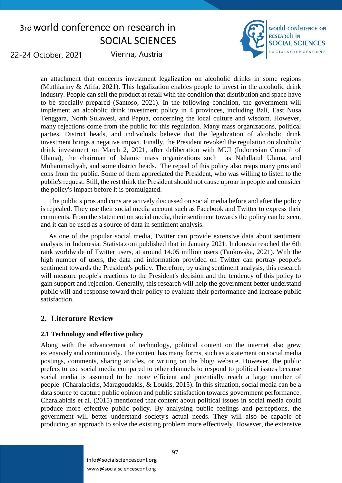

22-24 October, 2021

Vienna, Austria

an attachment that concerns investment legalization on alcoholic drinks in some regions (Muthiariny & Afifa, 2021). This legalization enables people to invest in the alcoholic drink industry. People can sell the product at retail with the condition that distribution and space have to be specially prepared (Santoso, 2021). In the following condition, the government will implement an alcoholic drink investment policy in 4 provinces, including Bali, East Nusa Tenggara, North Sulawesi, and Papua, concerning the local culture and wisdom. However, many rejections come from the public for this regulation. Many mass organizations, political parties, District heads, and individuals believe that the legalization of alcoholic drink investment brings a negative impact. Finally, the President revoked the regulation on alcoholic drink investment on March 2, 2021, after deliberation with MUI (Indonesian Council of Ulama), the chairman of Islamic mass organizations such as Nahdlatul Ulama, and Muhammadiyah, and some district heads. The repeal of this policy also reaps many pros and cons from the public. Some of them appreciated the President, who was willing to listen to the public's request. Still, the rest think the President should not cause uproar in people and consider the policy's impact before it is promulgated.

The public's pros and cons are actively discussed on social media before and after the policy is repealed. They use their social media account such as Facebook and Twitter to express their comments. From the statement on social media, their sentiment towards the policy can be seen, and it can be used as a source of data in sentiment analysis.

As one of the popular social media, Twitter can provide extensive data about sentiment analysis in Indonesia. Statista.com published that in January 2021, Indonesia reached the 6th rank worldwide of Twitter users, at around 14.05 million users (Tankovska, 2021). With the high number of users, the data and information provided on Twitter can portray people's sentiment towards the President's policy. Therefore, by using sentiment analysis, this research will measure people's reactions to the President's decision and the tendency of this policy to gain support and rejection. Generally, this research will help the government better understand public will and response toward their policy to evaluate their performance and increase public satisfaction.

### **2. Literature Review**

### **2.1 Technology and effective policy**

Along with the advancement of technology, political content on the internet also grew extensively and continuously. The content has many forms, such as a statement on social media postings, comments, sharing articles, or writing on the blog/ website. However, the public prefers to use social media compared to other channels to respond to political issues because social media is assumed to be more efficient and potentially reach a large number of people (Charalabidis, Maragoudakis, & Loukis, 2015). In this situation, social media can be a data source to capture public opinion and public satisfaction towards government performance. Charalabidis et al. (2015) mentioned that content about political issues in social media could produce more effective public policy. By analysing public feelings and perceptions, the government will better understand society's actual needs. They will also be capable of producing an approach to solve the existing problem more effectively. However, the extensive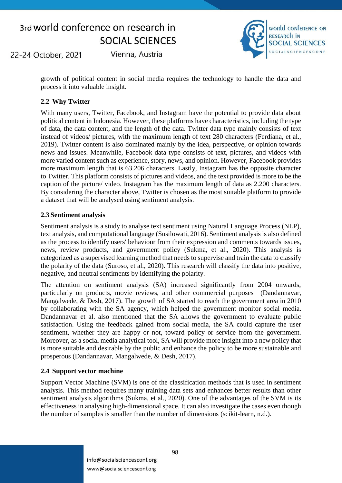22-24 October, 2021

Vienna, Austria



growth of political content in social media requires the technology to handle the data and process it into valuable insight.

### **2.2 Why Twitter**

With many users, Twitter, Facebook, and Instagram have the potential to provide data about political content in Indonesia. However, these platforms have characteristics, including the type of data, the data content, and the length of the data. Twitter data type mainly consists of text instead of videos/ pictures, with the maximum length of text 280 characters (Ferdiana, et al., 2019)*.* Twitter content is also dominated mainly by the idea, perspective, or opinion towards news and issues. Meanwhile, Facebook data type consists of text, pictures, and videos with more varied content such as experience, story, news, and opinion. However, Facebook provides more maximum length that is 63.206 characters. Lastly, Instagram has the opposite character to Twitter. This platform consists of pictures and videos, and the text provided is more to be the caption of the picture/ video. Instagram has the maximum length of data as 2.200 characters. By considering the character above, Twitter is chosen as the most suitable platform to provide a dataset that will be analysed using sentiment analysis.

#### **2.3 Sentiment analysis**

Sentiment analysis is a study to analyse text sentiment using Natural Language Process (NLP), text analysis, and computational language (Susilowati, 2016). Sentiment analysis is also defined as the process to identify users' behaviour from their expression and comments towards issues, news, review products, and government policy (Sukma, et al., 2020). This analysis is categorized as a supervised learning method that needs to supervise and train the data to classify the polarity of the data (Suroso, et al., 2020). This research will classify the data into positive, negative, and neutral sentiments by identifying the polarity.

The attention on sentiment analysis (SA) increased significantly from 2004 onwards, particularly on products, movie reviews, and other commercial purposes (Dandannavar, Mangalwede, & Desh, 2017). The growth of SA started to reach the government area in 2010 by collaborating with the SA agency, which helped the government monitor social media. Dandannavar et al. also mentioned that the SA allows the government to evaluate public satisfaction. Using the feedback gained from social media, the SA could capture the user sentiment, whether they are happy or not, toward policy or service from the government. Moreover, as a social media analytical tool, SA will provide more insight into a new policy that is more suitable and desirable by the public and enhance the policy to be more sustainable and prosperous (Dandannavar, Mangalwede, & Desh, 2017).

#### **2.4 Support vector machine**

Support Vector Machine (SVM) is one of the classification methods that is used in sentiment analysis. This method requires many training data sets and enhances better results than other sentiment analysis algorithms (Sukma, et al., 2020). One of the advantages of the SVM is its effectiveness in analysing high-dimensional space. It can also investigate the cases even though the number of samples is smaller than the number of dimensions (scikit-learn, n.d.).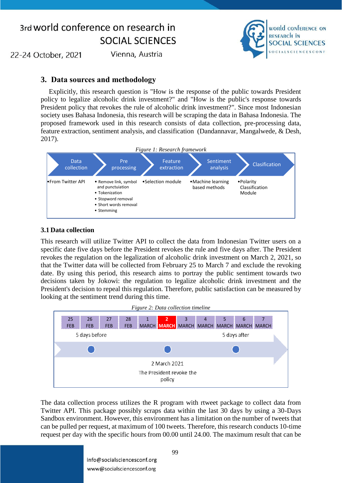world conference on **RESEARCH IN SOCIAL SCIENCES OCIALSCIENCESCONF** 

22-24 October, 2021

Vienna, Austria

### **3. Data sources and methodology**

Explicitly, this research question is "How is the response of the public towards President policy to legalize alcoholic drink investment?" and "How is the public's response towards President policy that revokes the rule of alcoholic drink investment?". Since most Indonesian society uses Bahasa Indonesia, this research will be scraping the data in Bahasa Indonesia. The proposed framework used in this research consists of data collection, pre-processing data, feature extraction, sentiment analysis, and classification (Dandannavar, Mangalwede, & Desh, 2017).



#### **3.1 Data collection**

This research will utilize Twitter API to collect the data from Indonesian Twitter users on a specific date five days before the President revokes the rule and five days after. The President revokes the regulation on the legalization of alcoholic drink investment on March 2, 2021, so that the Twitter data will be collected from February 25 to March 7 and exclude the revoking date. By using this period, this research aims to portray the public sentiment towards two decisions taken by Jokowi: the regulation to legalize alcoholic drink investment and the President's decision to repeal this regulation. Therefore, public satisfaction can be measured by looking at the sentiment trend during this time.



The data collection process utilizes the R program with rtweet package to collect data from Twitter API. This package possibly scraps data within the last 30 days by using a 30-Days Sandbox environment. However, this environment has a limitation on the number of tweets that can be pulled per request, at maximum of 100 tweets. Therefore, this research conducts 10-time request per day with the specific hours from 00.00 until 24.00. The maximum result that can be

> info@socialsciencesconf.org www@socialsciencesconf.org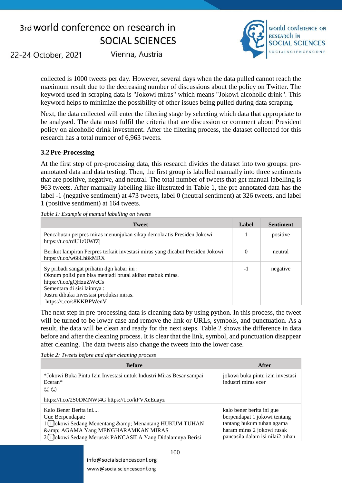

22-24 October, 2021

Vienna, Austria

collected is 1000 tweets per day. However, several days when the data pulled cannot reach the maximum result due to the decreasing number of discussions about the policy on Twitter. The keyword used in scraping data is "Jokowi miras" which means "Jokowi alcoholic drink". This keyword helps to minimize the possibility of other issues being pulled during data scraping.

Next, the data collected will enter the filtering stage by selecting which data that appropriate to be analysed. The data must fulfil the criteria that are discussion or comment about President policy on alcoholic drink investment. After the filtering process, the dataset collected for this research has a total number of 6,963 tweets.

#### **3.2 Pre-Processing**

At the first step of pre-processing data, this research divides the dataset into two groups: preannotated data and data testing. Then, the first group is labelled manually into three sentiments that are positive, negative, and neutral. The total number of tweets that get manual labelling is 963 tweets. After manually labelling like illustrated in [Table 1,](#page-4-0) the pre annotated data has the label -1 (negative sentiment) at 473 tweets, label 0 (neutral sentiment) at 326 tweets, and label 1 (positive sentiment) at 164 tweets.

<span id="page-4-0"></span>*Table 1: Example of manual labelling on tweets*

| <b>Tweet</b>                                                                                                                                                                                                                           | Label    | <b>Sentiment</b> |
|----------------------------------------------------------------------------------------------------------------------------------------------------------------------------------------------------------------------------------------|----------|------------------|
| Pencabutan perpres miras menunjukan sikap demokratis Presiden Jokowi<br>https://t.co/rdU1zUWfZj                                                                                                                                        |          | positive         |
| Berikut lampiran Perpres terkait investasi miras yang dicabut Presiden Jokowi<br>https://t.co/w66Lh8kMRX                                                                                                                               | $\Omega$ | neutral          |
| Sy pribadi sangat prihatin dgn kabar ini :<br>Oknum polisi pun bisa menjadi brutal akibat mabuk miras.<br>https://t.co/gQHzuZWcCs<br>Sementara di sisi lainnya :<br>Justru dibuka Investasi produksi miras.<br>https://t.co/s8KKBPWenV | $-1$     | negative         |

The next step in pre-processing data is cleaning data by using python. In this process, the tweet will be turned to be lower case and remove the link or URLs, symbols, and punctuation. As a result, the data will be clean and ready for the next steps. [Table 2](#page-4-1) shows the difference in data before and after the cleaning process. It is clear that the link, symbol, and punctuation disappear after cleaning. The data tweets also change the tweets into the lower case.

<span id="page-4-1"></span>*Table 2: Tweets before and after cleaning process*

| <b>Before</b>                                                                                                                                                                                                           | After                                                                                                                                                    |
|-------------------------------------------------------------------------------------------------------------------------------------------------------------------------------------------------------------------------|----------------------------------------------------------------------------------------------------------------------------------------------------------|
| *Jokowi Buka Pintu Izin Investasi untuk Industri Miras Besar sampai<br>Eceran*<br>$\odot$ $\odot$                                                                                                                       | jokowi buka pintu izin investasi<br>industri miras ecer                                                                                                  |
| https://t.co/2S0DMNWt4G https://t.co/kFVXeEuayz                                                                                                                                                                         |                                                                                                                                                          |
| Kalo Bener Berita ini<br>Gue Berpendapat:<br>1 <b>Jokowi Sedang Menentang &amp;</b> ; Menantang HUKUM TUHAN<br>& AGAMA Yang MENGHARAMKAN MIRAS<br>2 <sup>[</sup> Jokowi Sedang Merusak PANCASILA Yang Didalamnya Berisi | kalo bener berita ini gue<br>berpendapat 1 jokowi tentang<br>tantang hukum tuhan agama<br>haram miras 2 jokowi rusak<br>pancasila dalam isi nilai2 tuhan |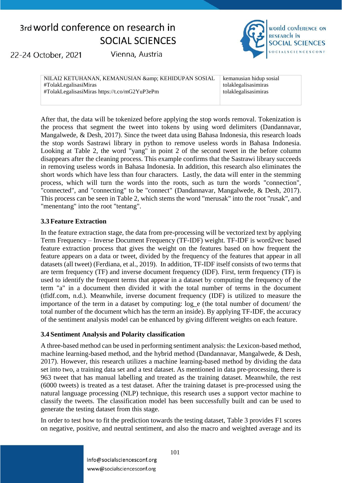22-24 October, 2021

Vienna, Austria



NILAI2 KETUHANAN, KEMANUSIAN & amp; KEHIDUPAN SOSIAL #TolakLegalisasiMiras #TolakLegalisasiMiras https://t.co/mG2YuP3ePm

kemanusian hidup sosial tolaklegalisasimiras tolaklegalisasimiras

After that, the data will be tokenized before applying the stop words removal. Tokenization is the process that segment the tweet into tokens by using word delimiters (Dandannavar, Mangalwede, & Desh, 2017). Since the tweet data using Bahasa Indonesia, this research loads the stop words Sastrawi library in python to remove useless words in Bahasa Indonesia. Looking at [Table 2,](#page-4-1) the word "yang" in point 2 of the second tweet in the before column disappears after the cleaning process. This example confirms that the Sastrawi library succeeds in removing useless words in Bahasa Indonesia. In addition, this research also eliminates the short words which have less than four characters. Lastly, the data will enter in the stemming process, which will turn the words into the roots, such as turn the words "connection", "connected", and "connecting" to be "connect" (Dandannavar, Mangalwede, & Desh, 2017). This process can be seen in [Table 2,](#page-4-1) which stems the word "merusak" into the root "rusak", and "menentang" into the root "tentang".

#### **3.3 Feature Extraction**

In the feature extraction stage, the data from pre-processing will be vectorized text by applying Term Frequency – Inverse Document Frequency (TF-IDF) weight. TF-IDF is word2vec based feature extraction process that gives the weight on the features based on how frequent the feature appears on a data or tweet, divided by the frequency of the features that appear in all datasets (all tweet) (Ferdiana, et al., 2019). In addition, TF-IDF itself consists of two terms that are term frequency (TF) and inverse document frequency (IDF). First, term frequency (TF) is used to identify the frequent terms that appear in a dataset by computing the frequency of the term "a" in a document then divided it with the total number of terms in the document (tfidf.com, n.d.). Meanwhile, inverse document frequency (IDF) is utilized to measure the importance of the term in a dataset by computing: log\_e (the total number of document/ the total number of the document which has the term an inside). By applying TF-IDF, the accuracy of the sentiment analysis model can be enhanced by giving different weights on each feature.

#### **3.4 Sentiment Analysis and Polarity classification**

A three-based method can be used in performing sentiment analysis: the Lexicon-based method, machine learning-based method, and the hybrid method (Dandannavar, Mangalwede, & Desh, 2017). However, this research utilizes a machine learning-based method by dividing the data set into two, a training data set and a test dataset. As mentioned in data pre-processing, there is 963 tweet that has manual labelling and treated as the training dataset. Meanwhile, the rest (6000 tweets) is treated as a test dataset. After the training dataset is pre-processed using the natural language processing (NLP) technique, this research uses a support vector machine to classify the tweets. The classification model has been successfully built and can be used to generate the testing dataset from this stage.

In order to test how to fit the prediction towards the testing dataset, [Table 3](#page-6-0) provides F1 scores on negative, positive, and neutral sentiment, and also the macro and weighted average and its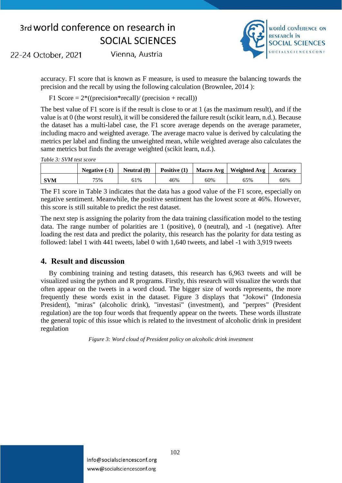

22-24 October, 2021

Vienna, Austria

accuracy. F1 score that is known as F measure, is used to measure the balancing towards the precision and the recall by using the following calculation (Brownlee, 2014 ):

F1 Score  $= 2^*((precision * recall)/(precision + recall))$ 

The best value of F1 score is if the result is close to or at 1 (as the maximum result), and if the value is at 0 (the worst result), it will be considered the failure result (scikit learn, n.d.). Because the dataset has a multi-label case, the F1 score average depends on the average parameter, including macro and weighted average. The average macro value is derived by calculating the metrics per label and finding the unweighted mean, while weighted average also calculates the same metrics but finds the average weighted (scikit learn, n.d.).

<span id="page-6-0"></span>

|            | Negative $(-1)$ | Neutral $(0)$ | Positive $(1)$ |     | Macro Avg   Weighted Avg | <b>Accuracy</b> |
|------------|-----------------|---------------|----------------|-----|--------------------------|-----------------|
| <b>SVM</b> | 75%             | 61%           | 46%            | 60% | 65%                      | 66%             |

The F1 score in [Table 3](#page-6-0) indicates that the data has a good value of the F1 score, especially on negative sentiment. Meanwhile, the positive sentiment has the lowest score at 46%. However, this score is still suitable to predict the rest dataset.

The next step is assigning the polarity from the data training classification model to the testing data. The range number of polarities are 1 (positive), 0 (neutral), and -1 (negative). After loading the rest data and predict the polarity, this research has the polarity for data testing as followed: label 1 with 441 tweets, label 0 with 1,640 tweets, and label -1 with 3,919 tweets

### **4. Result and discussion**

By combining training and testing datasets, this research has 6,963 tweets and will be visualized using the python and R programs. Firstly, this research will visualize the words that often appear on the tweets in a word cloud. The bigger size of words represents, the more frequently these words exist in the dataset. [Figure 3](#page-6-1) displays that "Jokowi" (Indonesia President), "miras" (alcoholic drink), "investasi" (investment), and "perpres" (President regulation) are the top four words that frequently appear on the tweets. These words illustrate the general topic of this issue which is related to the investment of alcoholic drink in president regulation

<span id="page-6-1"></span>*Figure 3: Word cloud of President policy on alcoholic drink investment*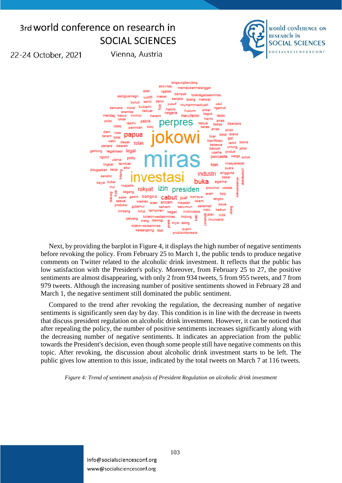Vienna, Austria



22-24 October, 2021

langsungberulang aktivitas memalukanmelanggar allah ngebet dampak tolaklegalisasimiras asingluarnegri makan uud45 senjata larang maksiat sentil bunuh yusuf muhammadiyah usul bubarin moral ngamuk hahih hukum anker keluar enembe bagus negara kasus nomor hai marufamin henti lukas pabrik perpres resmi ketua bebas perintah toko anak sindir papua batal istana biar lokal gaj waki desak tolak klarifikasi terbit bisnis penjara daerah untung jahat minum gantung legalisasi legal produk usaha warga putus pancas ngotot pintu ulama tembak masvarakat tingkat bijak didugaakan kerja  $\frac{1}{\pi}$ atur suara anggota industri senator fishin bayar bubar agama majelis mui provinsi ustadz izin presiden rakyat dagang boio arah salah gaduh bangsa cabut jual bahaya tengku t jual<br>masalah islam wapres ecer ancam issue produksi kerumun selamat aubernur saham kadrun tutup lampiran kaget malu timbang indonesia fijalan milik tolakinvestasimiras lindung e Joan<br>E hnurwahid<br>B iolakinvestas<br><sub>orang</sub> ideologi to kiyai asing tolakin vestasimiras kalajengking libat suami produkindonesia

Next, by providing the barplot in [Figure 4,](#page-7-0) it displays the high number of negative sentiments before revoking the policy. From February 25 to March 1, the public tends to produce negative comments on Twitter related to the alcoholic drink investment. It reflects that the public has low satisfaction with the President's policy. Moreover, from February 25 to 27, the positive sentiments are almost disappearing, with only 2 from 934 tweets, 5 from 955 tweets, and 7 from 979 tweets. Although the increasing number of positive sentiments showed in February 28 and March 1, the negative sentiment still dominated the public sentiment.

Compared to the trend after revoking the regulation, the decreasing number of negative sentiments is significantly seen day by day. This condition is in line with the decrease in tweets that discuss president regulation on alcoholic drink investment. However, it can be noticed that after repealing the policy, the number of positive sentiments increases significantly along with the decreasing number of negative sentiments. It indicates an appreciation from the public towards the President's decision, even though some people still have negative comments on this topic. After revoking, the discussion about alcoholic drink investment starts to be left. The public gives low attention to this issue, indicated by the total tweets on March 7 at 116 tweets.

<span id="page-7-0"></span>*Figure 4: Trend of sentiment analysis of President Regulation on alcoholic drink investment*

info@socialsciencesconf.org www@socialsciencesconf.org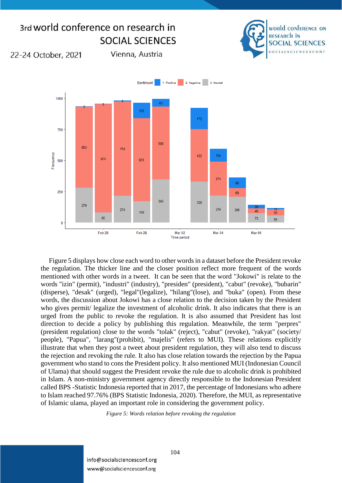

[Figure 5](#page-8-0) displays how close each word to other words in a dataset before the President revoke the regulation. The thicker line and the closer position reflect more frequent of the words mentioned with other words in a tweet. It can be seen that the word "Jokowi" is relate to the words "izin" (permit), "industri" (industry), "presiden" (president), "cabut" (revoke), "bubarin" (disperse), "desak" (urged), "legal"(legalize), "hilang"(lose), and "buka" (open). From these words, the discussion about Jokowi has a close relation to the decision taken by the President who gives permit/ legalize the investment of alcoholic drink. It also indicates that there is an urged from the public to revoke the regulation. It is also assumed that President has lost direction to decide a policy by publishing this regulation. Meanwhile, the term "perpres" (president regulation) close to the words "tolak" (reject), "cabut" (revoke), "rakyat" (society/ people), "Papua", "larang"(prohibit), "majelis" (refers to MUI). These relations explicitly illustrate that when they post a tweet about president regulation, they will also tend to discuss the rejection and revoking the rule. It also has close relation towards the rejection by the Papua government who stand to cons the President policy. It also mentioned MUI (Indonesian Council of Ulama) that should suggest the President revoke the rule due to alcoholic drink is prohibited in Islam. A non-ministry government agency directly responsible to the Indonesian President called BPS -Statistic Indonesia reported that in 2017, the percentage of Indonesians who adhere to Islam reached 97.76% (BPS Statistic Indonesia, 2020). Therefore, the MUI, as representative of Islamic ulama, played an important role in considering the government policy.

*Figure 5: Words relation before revoking the regulation*

<span id="page-8-0"></span>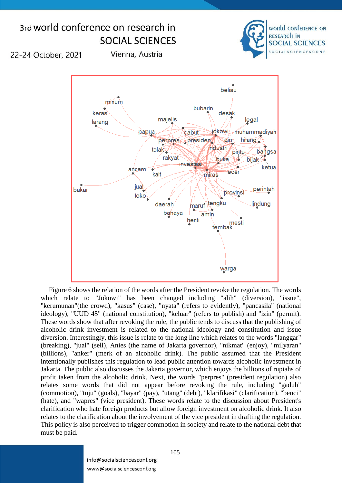#### 3rd world conference on research in world conference on **RESEARCH IN SOCIAL SCIENCES SOCIAL SCIENCES** 22-24 October, 2021 Vienna, Austria beliau minum bubarin desak keras majelis legal larang jokowi/ papua , muhammadiyah cabut presiden izin hilang perpres industri tolak pintu bangsa rakyat buka **bijak** investasi ketua ancam ecer kait miras jual bakar perintah provinsi toko ∖tengku daerah <u>lin</u>dung maruf bahaya amin henti tembak<br>tembak warga

[Figure 6](#page-10-0) shows the relation of the words after the President revoke the regulation. The words which relate to "Jokowi" has been changed including "alih" (diversion), "issue", "kerumunan"(the crowd), "kasus" (case), "nyata" (refers to evidently), "pancasila" (national ideology), "UUD 45" (national constitution), "keluar" (refers to publish) and "izin" (permit). These words show that after revoking the rule, the public tends to discuss that the publishing of alcoholic drink investment is related to the national ideology and constitution and issue diversion. Interestingly, this issue is relate to the long line which relates to the words "langgar" (breaking), "jual" (sell), Anies (the name of Jakarta governor), "nikmat" (enjoy), "milyaran" (billions), "anker" (merk of an alcoholic drink). The public assumed that the President intentionally publishes this regulation to lead public attention towards alcoholic investment in Jakarta. The public also discusses the Jakarta governor, which enjoys the billions of rupiahs of profit taken from the alcoholic drink. Next, the words "perpres" (president regulation) also relates some words that did not appear before revoking the rule, including "gaduh" (commotion), "tuju" (goals), "bayar" (pay), "utang" (debt), "klarifikasi" (clarification), "benci" (hate), and "wapres" (vice president). These words relate to the discussion about President's clarification who hate foreign products but allow foreign investment on alcoholic drink. It also relates to the clarification about the involvement of the vice president in drafting the regulation. This policy is also perceived to trigger commotion in society and relate to the national debt that must be paid.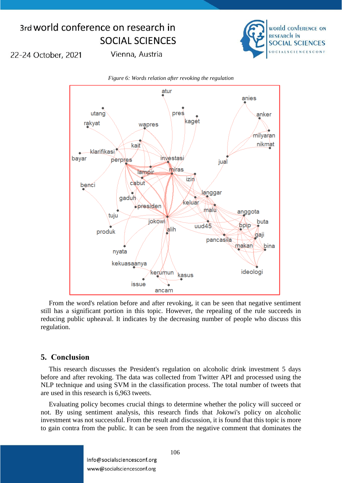

22-24 October, 2021

Vienna, Austria

<span id="page-10-0"></span>

From the word's relation before and after revoking, it can be seen that negative sentiment still has a significant portion in this topic. However, the repealing of the rule succeeds in reducing public upheaval. It indicates by the decreasing number of people who discuss this regulation.

### **5. Conclusion**

This research discusses the President's regulation on alcoholic drink investment 5 days before and after revoking. The data was collected from Twitter API and processed using the NLP technique and using SVM in the classification process. The total number of tweets that are used in this research is 6,963 tweets.

Evaluating policy becomes crucial things to determine whether the policy will succeed or not. By using sentiment analysis, this research finds that Jokowi's policy on alcoholic investment was not successful. From the result and discussion, it is found that this topic is more to gain contra from the public. It can be seen from the negative comment that dominates the

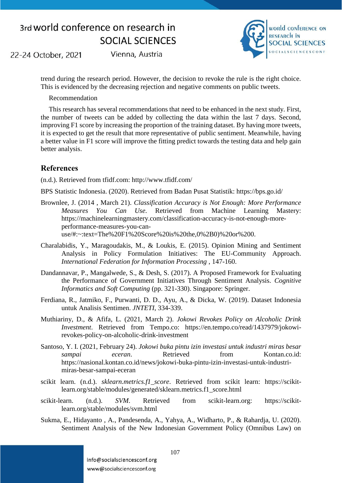22-24 October, 2021

Vienna, Austria



trend during the research period. However, the decision to revoke the rule is the right choice. This is evidenced by the decreasing rejection and negative comments on public tweets.

Recommendation

This research has several recommendations that need to be enhanced in the next study. First, the number of tweets can be added by collecting the data within the last 7 days. Second, improving F1 score by increasing the proportion of the training dataset. By having more tweets, it is expected to get the result that more representative of public sentiment. Meanwhile, having a better value in F1 score will improve the fitting predict towards the testing data and help gain better analysis.

### **References**

(n.d.). Retrieved from tfidf.com: http://www.tfidf.com/

BPS Statistic Indonesia. (2020). Retrieved from Badan Pusat Statistik: https://bps.go.id/

- Brownlee, J. (2014 , March 21). *Classification Accuracy is Not Enough: More Performance Measures You Can Use*. Retrieved from Machine Learning Mastery: https://machinelearningmastery.com/classification-accuracy-is-not-enough-moreperformance-measures-you-canuse/#:~:text=The%20F1%20Score%20is%20the,0%2B0)%20or%200.
- Charalabidis, Y., Maragoudakis, M., & Loukis, E. (2015). Opinion Mining and Sentiment Analysis in Policy Formulation Initiatives: The EU-Community Approach. *International Federation for Information Processing* , 147-160.
- Dandannavar, P., Mangalwede, S., & Desh, S. (2017). A Proposed Framework for Evaluating the Performance of Government Initiatives Through Sentiment Analysis. *Cognitive Informatics and Soft Computing* (pp. 321-330). Singapore: Springer.
- Ferdiana, R., Jatmiko, F., Purwanti, D. D., Ayu, A., & Dicka, W. (2019). Dataset Indonesia untuk Analisis Sentimen. *JNTETI*, 334-339.
- Muthiariny, D., & Afifa, L. (2021, March 2). *Jokowi Revokes Policy on Alcoholic Drink Investment*. Retrieved from Tempo.co: https://en.tempo.co/read/1437979/jokowirevokes-policy-on-alcoholic-drink-investment
- Santoso, Y. I. (2021, February 24). *Jokowi buka pintu izin investasi untuk industri miras besar sampai eceran*. Retrieved from Kontan.co.id: https://nasional.kontan.co.id/news/jokowi-buka-pintu-izin-investasi-untuk-industrimiras-besar-sampai-eceran
- scikit learn. (n.d.). *sklearn.metrics.f1\_score*. Retrieved from scikit learn: https://scikitlearn.org/stable/modules/generated/sklearn.metrics.f1\_score.html
- scikit-learn. (n.d.). *SVM*. Retrieved from scikit-learn.org: https://scikitlearn.org/stable/modules/svm.html
- Sukma, E., Hidayanto , A., Pandesenda, A., Yahya, A., Widharto, P., & Rahardja, U. (2020). Sentiment Analysis of the New Indonesian Government Policy (Omnibus Law) on